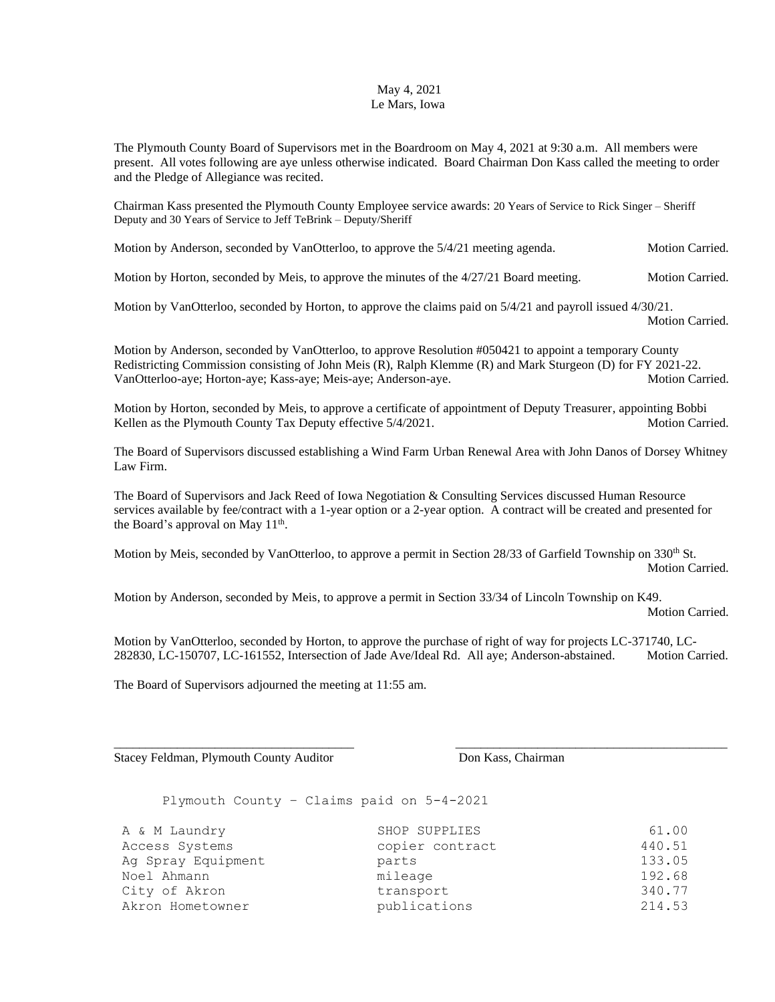## May 4, 2021 Le Mars, Iowa

The Plymouth County Board of Supervisors met in the Boardroom on May 4, 2021 at 9:30 a.m. All members were present. All votes following are aye unless otherwise indicated. Board Chairman Don Kass called the meeting to order and the Pledge of Allegiance was recited.

Chairman Kass presented the Plymouth County Employee service awards: 20 Years of Service to Rick Singer – Sheriff Deputy and 30 Years of Service to Jeff TeBrink – Deputy/Sheriff

Motion by Anderson, seconded by VanOtterloo, to approve the  $5/4/21$  meeting agenda. Motion Carried.

Motion by Horton, seconded by Meis, to approve the minutes of the 4/27/21 Board meeting. Motion Carried.

Motion by VanOtterloo, seconded by Horton, to approve the claims paid on 5/4/21 and payroll issued 4/30/21.

Motion Carried.

Motion by Anderson, seconded by VanOtterloo, to approve Resolution #050421 to appoint a temporary County Redistricting Commission consisting of John Meis (R), Ralph Klemme (R) and Mark Sturgeon (D) for FY 2021-22. VanOtterloo-aye; Horton-aye; Kass-aye; Meis-aye; Anderson-aye. Motion Carried. Motion Carried.

Motion by Horton, seconded by Meis, to approve a certificate of appointment of Deputy Treasurer, appointing Bobbi Kellen as the Plymouth County Tax Deputy effective  $5/4/2021$ . Motion Carried.

The Board of Supervisors discussed establishing a Wind Farm Urban Renewal Area with John Danos of Dorsey Whitney Law Firm.

The Board of Supervisors and Jack Reed of Iowa Negotiation & Consulting Services discussed Human Resource services available by fee/contract with a 1-year option or a 2-year option. A contract will be created and presented for the Board's approval on May  $11<sup>th</sup>$ .

Motion by Meis, seconded by VanOtterloo, to approve a permit in Section 28/33 of Garfield Township on 330<sup>th</sup> St. Motion Carried.

Motion by Anderson, seconded by Meis, to approve a permit in Section 33/34 of Lincoln Township on K49. Motion Carried.

Motion by VanOtterloo, seconded by Horton, to approve the purchase of right of way for projects LC-371740, LC-282830, LC-150707, LC-161552, Intersection of Jade Ave/Ideal Rd. All aye; Anderson-abstained. Motion Carried.

\_\_\_\_\_\_\_\_\_\_\_\_\_\_\_\_\_\_\_\_\_\_\_\_\_\_\_\_\_\_\_\_\_\_\_\_\_\_ \_\_\_\_\_\_\_\_\_\_\_\_\_\_\_\_\_\_\_\_\_\_\_\_\_\_\_\_\_\_\_\_\_\_\_\_\_\_\_\_\_\_\_

The Board of Supervisors adjourned the meeting at 11:55 am.

Stacey Feldman, Plymouth County Auditor Don Kass, Chairman

Plymouth County – Claims paid on 5-4-2021

| A & M Laundry      | SHOP SUPPLIES   | 61.00  |
|--------------------|-----------------|--------|
| Access Systems     | copier contract | 440.51 |
| Ag Spray Equipment | parts           | 133.05 |
| Noel Ahmann        | mileage         | 192.68 |
| City of Akron      | transport       | 340.77 |
| Akron Hometowner   | publications    | 214.53 |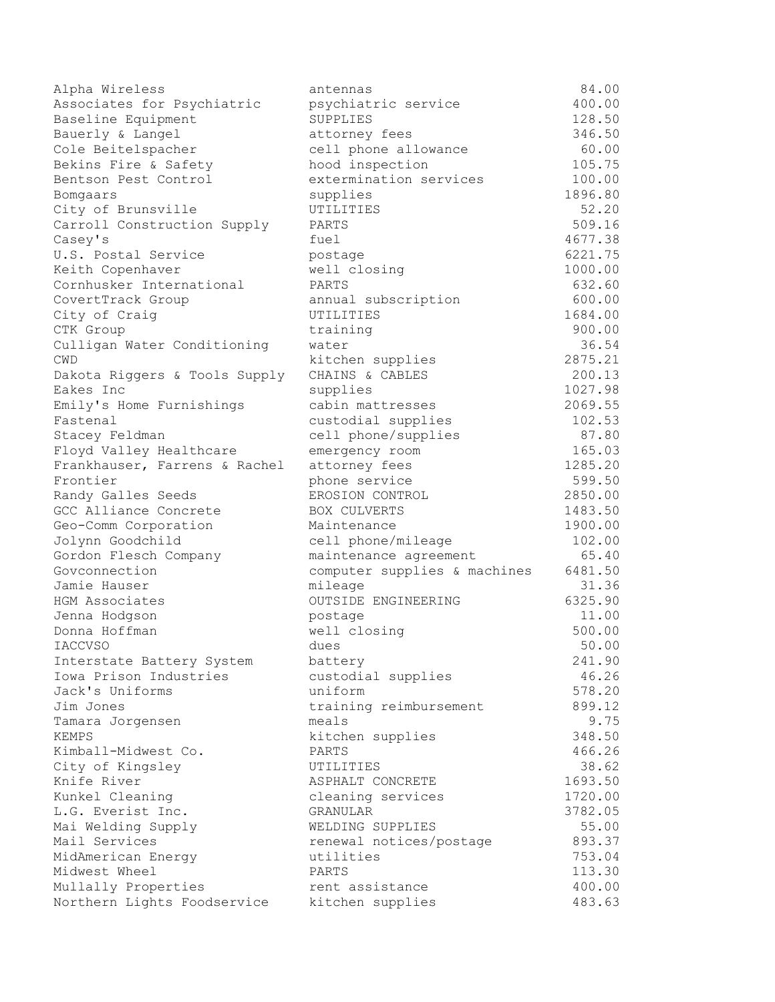| Alpha Wireless                                      | antennas                      | 84.00           |
|-----------------------------------------------------|-------------------------------|-----------------|
| Associates for Psychiatric                          | psychiatric service           | 400.00          |
| Baseline Equipment                                  | SUPPLIES                      | 128.50          |
| Bauerly & Langel                                    | attorney fees                 | 346.50          |
| Cole Beitelspacher                                  | cell phone allowance          | 60.00           |
| Bekins Fire & Safety                                | hood inspection               | 105.75          |
| Bentson Pest Control                                | extermination services        | 100.00          |
| Bomgaars                                            | supplies                      | 1896.80         |
| City of Brunsville                                  | UTILITIES                     | 52.20           |
| Carroll Construction Supply                         | PARTS                         | 509.16          |
| Casey's                                             | fuel                          | 4677.38         |
| U.S. Postal Service                                 | postage                       | 6221.75         |
| Keith Copenhaver                                    | well closing                  | 1000.00         |
| Cornhusker International                            | PARTS                         | 632.60          |
| CovertTrack Group                                   | annual subscription           | 600.00          |
| City of Craig                                       | UTILITIES                     | 1684.00         |
| CTK Group                                           | training                      | 900.00          |
| Culligan Water Conditioning                         | water                         | 36.54           |
| <b>CWD</b>                                          | kitchen supplies              | 2875.21         |
| Dakota Riggers & Tools Supply                       | CHAINS & CABLES               | 200.13          |
| Eakes Inc                                           | supplies                      | 1027.98         |
| Emily's Home Furnishings                            | cabin mattresses              | 2069.55         |
| Fastenal                                            | custodial supplies            | 102.53          |
| Stacey Feldman                                      | cell phone/supplies           | 87.80           |
| Floyd Valley Healthcare                             | emergency room                | 165.03          |
| Frankhauser, Farrens & Rachel                       | attorney fees                 | 1285.20         |
| Frontier                                            | phone service                 | 599.50          |
| Randy Galles Seeds                                  | EROSION CONTROL               | 2850.00         |
| GCC Alliance Concrete                               | BOX CULVERTS                  | 1483.50         |
| Geo-Comm Corporation                                | Maintenance                   | 1900.00         |
| Jolynn Goodchild                                    | cell phone/mileage            | 102.00          |
| Gordon Flesch Company                               | maintenance agreement         | 65.40           |
| Govconnection                                       | computer supplies & machines  | 6481.50         |
| Jamie Hauser                                        | mileage                       | 31.36           |
| HGM Associates                                      | <b>OUTSIDE ENGINEERING</b>    | 6325.90         |
| Jenna Hodgson                                       | postage                       | 11.00           |
| Donna Hoffman                                       | well closing                  | 500.00          |
|                                                     |                               |                 |
| <b>IACCVSO</b>                                      | dues                          | 50.00<br>241.90 |
| Interstate Battery System<br>Iowa Prison Industries | battery<br>custodial supplies | 46.26           |
| Jack's Uniforms                                     | uniform                       | 578.20          |
| Jim Jones                                           |                               | 899.12          |
|                                                     | training reimbursement        | 9.75            |
| Tamara Jorgensen                                    | meals                         |                 |
| <b>KEMPS</b>                                        | kitchen supplies              | 348.50          |
| Kimball-Midwest Co.                                 | PARTS                         | 466.26          |
| City of Kingsley                                    | UTILITIES                     | 38.62           |
| Knife River                                         | ASPHALT CONCRETE              | 1693.50         |
| Kunkel Cleaning                                     | cleaning services             | 1720.00         |
| L.G. Everist Inc.                                   | GRANULAR                      | 3782.05         |
| Mai Welding Supply                                  | WELDING SUPPLIES              | 55.00           |
| Mail Services                                       | renewal notices/postage       | 893.37          |
| MidAmerican Energy                                  | utilities                     | 753.04          |
| Midwest Wheel                                       | PARTS                         | 113.30          |
| Mullally Properties                                 | rent assistance               | 400.00          |
| Northern Lights Foodservice                         | kitchen supplies              | 483.63          |